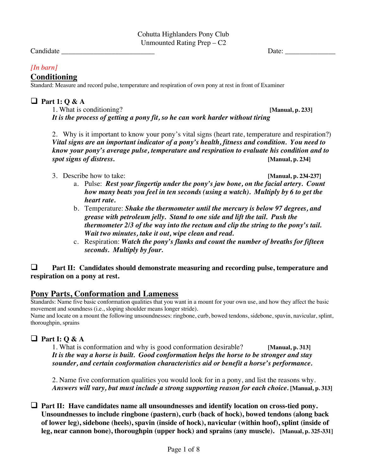Candidate **Date:** 2008. [2013] Date: 2014. [2014] Date: 2014. [2014] Date: 2014. [2014] Date: 2014. [2014] Date: 2014. [2014] Date: 2014. [2014] Date: 2014. [2014] Date: 2014. [2014] Date: 2014. [2014] Date: 2014. [2014] D

### *[In barn]*

### **Conditioning**

Standard: Measure and record pulse, temperature and respiration of own pony at rest in front of Examiner

#### $\Box$  Part 1: Q & A

1. What is conditioning? **[Manual, p. 233]** *It is the process of getting a pony fit, so he can work harder without tiring*

2. Why is it important to know your pony's vital signs (heart rate, temperature and respiration?) *Vital signs are an important indicator of a pony's health, fitness and condition. You need to know your pony's average pulse, temperature and respiration to evaluate his condition and to spot signs of distress.* **[Manual, p. 234]**

3. Describe how to take: **[Manual, p. 234-237]**

- a. Pulse: *Rest your fingertip under the pony's jaw bone, on the facial artery. Count how many beats you feel in ten seconds (using a watch). Multiply by 6 to get the heart rate.*
- b. Temperature: *Shake the thermometer until the mercury is below 97 degrees, and grease with petroleum jelly. Stand to one side and lift the tail. Push the thermometer 2/3 of the way into the rectum and clip the string to the pony's tail. Wait two minutes, take it out, wipe clean and read.*
- c. Respiration: *Watch the pony's flanks and count the number of breaths for fifteen seconds. Multiply by four.*

#### $\Box$  Part II: Candidates should demonstrate measuring and recording pulse, temperature and **respiration on a pony at rest.**

### **Pony Parts, Conformation and Lameness**

Standards: Name five basic conformation qualities that you want in a mount for your own use, and how they affect the basic movement and soundness (i.e., sloping shoulder means longer stride).

Name and locate on a mount the following unsoundnesses: ringbone, curb, bowed tendons, sidebone, spavin, navicular, splint, thoroughpin, sprains

### **Q** Part **I:**  $\bf{Q}$  &  $\bf{A}$

1. What is conformation and why is good conformation desirable? **[Manual, p. 313]** *It is the way a horse is built. Good conformation helps the horse to be stronger and stay sounder, and certain conformation characteristics aid or benefit a horse's performance.*

2. Name five conformation qualities you would look for in a pony, and list the reasons why. *Answers will vary, but must include a strong supporting reason for each choice.* **[Manual, p. 313]**

 $\Box$  Part II: Have candidates name all unsoundnesses and identify location on cross-tied pony. **Unsoundnesses to include ringbone (pastern), curb (back of hock), bowed tendons (along back of lower leg), sidebone (heels), spavin (inside of hock), navicular (within hoof), splint (inside of leg, near cannon bone), thoroughpin (upper hock) and sprains (any muscle). [Manual, p. 325-331]**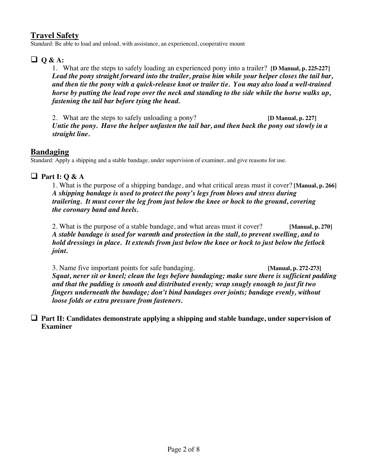## **Travel Safety**

Standard: Be able to load and unload, with assistance, an experienced, cooperative mount

## **Q Q** & A:

1. What are the steps to safely loading an experienced pony into a trailer? **[D Manual, p. 225-227]** *Lead the pony straight forward into the trailer, praise him while your helper closes the tail bar, and then tie the pony with a quick-release knot or trailer tie. You may also load a well-trained horse by putting the lead rope over the neck and standing to the side while the horse walks up, fastening the tail bar before tying the head.*

2. What are the steps to safely unloading a pony? **[D Manual, p. 227]** *Untie the pony. Have the helper unfasten the tail bar, and then back the pony out slowly in a straight line.*

### **Bandaging**

Standard: Apply a shipping and a stable bandage, under supervision of examiner, and give reasons for use.

## **Q** Part I:  $\theta \& A$

1. What is the purpose of a shipping bandage, and what critical areas must it cover? **[Manual, p. 266]** *A shipping bandage is used to protect the pony's legs from blows and stress during trailering. It must cover the leg from just below the knee or hock to the ground, covering the coronary band and heels.*

2. What is the purpose of a stable bandage, and what areas must it cover? **[Manual, p. 270]** *A stable bandage is used for warmth and protection in the stall, to prevent swelling, and to hold dressings in place. It extends from just below the knee or hock to just below the fetlock joint.*

3. Name five important points for safe bandaging. **[Manual, p. 272-273]** *Squat, never sit or kneel; clean the legs before bandaging; make sure there is sufficient padding and that the padding is smooth and distributed evenly; wrap snugly enough to just fit two fingers underneath the bandage; don't bind bandages over joints; bandage evenly, without loose folds or extra pressure from fasteners.*

□ Part II: Candidates demonstrate applying a shipping and stable bandage, under supervision of **Examiner**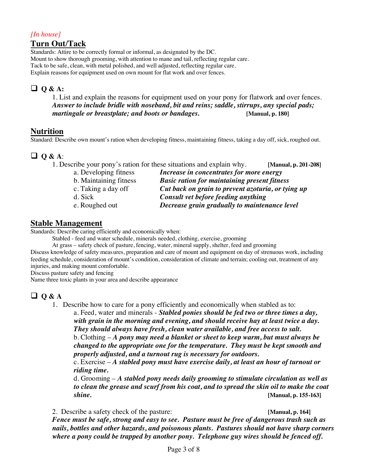#### *[In house]* **Turn Out/Tack**

Standards: Attire to be correctly formal or informal, as designated by the DC. Mount to show thorough grooming, with attention to mane and tail, reflecting regular care. Tack to be safe, clean, with metal polished, and well adjusted, reflecting regular care. Explain reasons for equipment used on own mount for flat work and over fences.

## **Q** & A:

1. List and explain the reasons for equipment used on your pony for flatwork and over fences. *Answer to include bridle with noseband, bit and reins; saddle, stirrups, any special pads; martingale or breastplate; and boots or bandages.* **[Manual, p. 180]**

## **Nutrition**

Standard: Describe own mount's ration when developing fitness, maintaining fitness, taking a day off, sick, roughed out.

# q **Q & A**:

| 1. Describe your pony's ration for these situations and explain why. | [Manual, p. 201-208] |
|----------------------------------------------------------------------|----------------------|
| Increase in concentrates for more energy                             |                      |
| <b>Basic ration for maintaining present fitness</b>                  |                      |
| Cut back on grain to prevent azoturia, or tying up                   |                      |
| Consult vet before feeding anything                                  |                      |
| Decrease grain gradually to maintenance level                        |                      |
|                                                                      |                      |

## **Stable Management**

Standards: Describe caring efficiently and economically when:

Stabled - feed and water schedule, minerals needed, clothing, exercise, grooming

At grass – safety check of pasture, fencing, water, mineral supply, shelter, feed and grooming

Discuss knowledge of safety measures, preparation and care of mount and equipment on day of strenuous work, including feeding schedule, consideration of mount's condition, consideration of climate and terrain; cooling out, treatment of any injuries, and making mount comfortable.

Discuss pasture safety and fencing

Name three toxic plants in your area and describe appearance

## $\Box$  Q & A

1. Describe how to care for a pony efficiently and economically when stabled as to:

a. Feed, water and minerals - *Stabled ponies should be fed two or three times a day, with grain in the morning and evening, and should receive hay at least twice a day. They should always have fresh, clean water available, and free access to salt.* b. Clothing – *A pony may need a blanket or sheet to keep warm, but must always be changed to the appropriate one for the temperature. They must be kept smooth and* 

*properly adjusted, and a turnout rug is necessary for outdoors.*

c. Exercise – *A stabled pony must have exercise daily, at least an hour of turnout or riding time.*

d. Grooming – *A stabled pony needs daily grooming to stimulate circulation as well as to clean the grease and scurf from his coat, and to spread the skin oil to make the coat shine.* **[Manual, p. 155-163]**

2. Describe a safety check of the pasture: **[Manual, p. 164]** *Fence must be safe, strong and easy to see. Pasture must be free of dangerous trash such as nails, bottles and other hazards, and poisonous plants. Pastures should not have sharp corners where a pony could be trapped by another pony. Telephone guy wires should be fenced off.*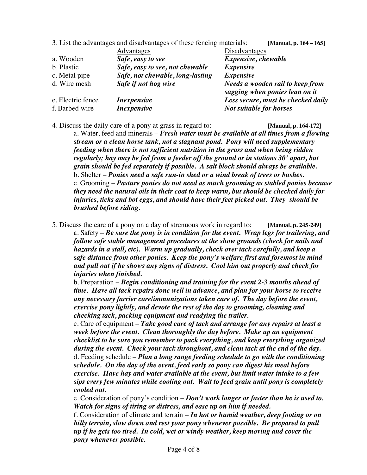|                   | 3. List the advantages and disadvantages of these fencing materials: | [Manual, p. 164 – 165]                                                    |
|-------------------|----------------------------------------------------------------------|---------------------------------------------------------------------------|
|                   | Advantages                                                           | Disadvantages                                                             |
| a. Wooden         | Safe, easy to see                                                    | Expensive, chewable                                                       |
| b. Plastic        | Safe, easy to see, not chewable                                      | <i>Expensive</i>                                                          |
| c. Metal pipe     | Safe, not chewable, long-lasting                                     | <b>Expensive</b>                                                          |
| d. Wire mesh      | Safe if not hog wire                                                 | <b>Needs a wooden rail to keep from</b><br>sagging when ponies lean on it |
| e. Electric fence | <i>Inexpensive</i>                                                   | Less secure, must be checked daily                                        |
| f. Barbed wire    | <i>Inexpensive</i>                                                   | <b>Not suitable for horses</b>                                            |

4. Discuss the daily care of a pony at grass in regard to: **[Manual, p. 164-172]**

a. Water, feed and minerals – *Fresh water must be available at all times from a flowing stream or a clean horse tank, not a stagnant pond. Pony will need supplementary feeding when there is not sufficient nutrition in the grass and when being ridden regularly; hay may be fed from a feeder off the ground or in stations 30' apart, but grain should be fed separately if possible. A salt block should always be available.* b. Shelter – *Ponies need a safe run-in shed or a wind break of trees or bushes.* c. Grooming – *Pasture ponies do not need as much grooming as stabled ponies because they need the natural oils in their coat to keep warm, but should be checked daily for injuries, ticks and bot eggs, and should have their feet picked out. They should be brushed before riding.* 

5. Discuss the care of a pony on a day of strenuous work in regard to: **[Manual, p. 245-249]** a. Safety – *Be sure the pony is in condition for the event. Wrap legs for trailering, and follow safe stable management procedures at the show grounds (check for nails and hazards in a stall, etc). Warm up gradually, check over tack carefully, and keep a safe distance from other ponies. Keep the pony's welfare first and foremost in mind and pull out if he shows any signs of distress. Cool him out properly and check for injuries when finished.*

b. Preparation – *Begin conditioning and training for the event 2-3 months ahead of time. Have all tack repairs done well in advance, and plan for your horse to receive any necessary farrier care/immunizations taken care of. The day before the event, exercise pony lightly, and devote the rest of the day to grooming, cleaning and checking tack, packing equipment and readying the trailer.*

c. Care of equipment – *Take good care of tack and arrange for any repairs at least a week before the event. Clean thoroughly the day before. Make up an equipment checklist to be sure you remember to pack everything, and keep everything organized during the event. Check your tack throughout, and clean tack at the end of the day.* d. Feeding schedule – *Plan a long range feeding schedule to go with the conditioning schedule. On the day of the event, feed early so pony can digest his meal before exercise. Have hay and water available at the event, but limit water intake to a few sips every few minutes while cooling out. Wait to feed grain until pony is completely cooled out.*

e. Consideration of pony's condition – *Don't work longer or faster than he is used to. Watch for signs of tiring or distress, and ease up on him if needed.*

f. Consideration of climate and terrain – *In hot or humid weather, deep footing or on hilly terrain, slow down and rest your pony whenever possible. Be prepared to pull up if he gets too tired. In cold, wet or windy weather, keep moving and cover the pony whenever possible.*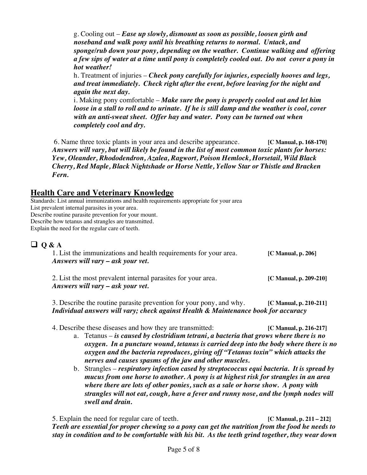g. Cooling out – *Ease up slowly, dismount as soon as possible, loosen girth and noseband and walk pony until his breathing returns to normal. Untack, and sponge/rub down your pony, depending on the weather. Continue walking and offering a few sips of water at a time until pony is completely cooled out. Do not cover a pony in hot weather!*

h. Treatment of injuries – *Check pony carefully for injuries, especially hooves and legs, and treat immediately. Check right after the event, before leaving for the night and again the next day.*

i. Making pony comfortable – *Make sure the pony is properly cooled out and let him loose in a stall to roll and to urinate. If he is still damp and the weather is cool, cover with an anti-sweat sheet. Offer hay and water. Pony can be turned out when completely cool and dry.*

6. Name three toxic plants in your area and describe appearance. **[C Manual, p. 168-170]** *Answers will vary, but will likely be found in the list of most common toxic plants for horses: Yew, Oleander, Rhododendron, Azalea, Ragwort, Poison Hemlock, Horsetail, Wild Black Cherry, Red Maple, Black Nightshade or Horse Nettle, Yellow Star or Thistle and Bracken Fern.*

## **Health Care and Veterinary Knowledge**

Standards: List annual immunizations and health requirements appropriate for your area List prevalent internal parasites in your area. Describe routine parasite prevention for your mount. Describe how tetanus and strangles are transmitted. Explain the need for the regular care of teeth.

## $\Box$  O & A

1. List the immunizations and health requirements for your area. **[C Manual, p. 206]** *Answers will vary – ask your vet.*

2. List the most prevalent internal parasites for your area. **[C Manual, p. 209-210]** *Answers will vary – ask your vet.*

3. Describe the routine parasite prevention for your pony, and why. **[C Manual, p. 210-211]** *Individual answers will vary; check against Health & Maintenance book for accuracy*

- 4. Describe these diseases and how they are transmitted: **[C Manual, p. 216-217]**
	- a. Tetanus *is caused by clostridium tetrani, a bacteria that grows where there is no oxygen. In a puncture wound, tetanus is carried deep into the body where there is no oxygen and the bacteria reproduces, giving off "Tetanus toxin" which attacks the nerves and causes spasms of the jaw and other muscles.*
	- b. Strangles *respiratory infection cased by streptococcus equi bacteria. It is spread by mucus from one horse to another. A pony is at highest risk for strangles in an area where there are lots of other ponies, such as a sale or horse show. A pony with strangles will not eat, cough, have a fever and runny nose, and the lymph nodes will swell and drain.*

5. Explain the need for regular care of teeth. **[C Manual, p. 211 – 212]** *Teeth are essential for proper chewing so a pony can get the nutrition from the food he needs to stay in condition and to be comfortable with his bit. As the teeth grind together, they wear down*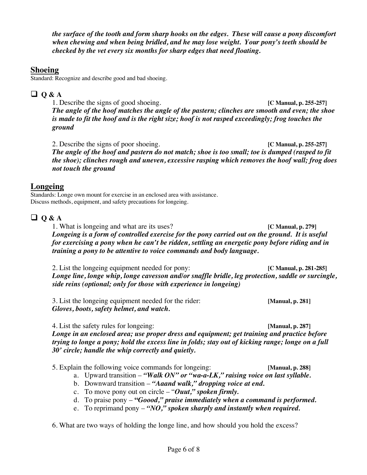*the surface of the tooth and form sharp hooks on the edges. These will cause a pony discomfort when chewing and when being bridled, and he may lose weight. Your pony's teeth should be checked by the vet every six months for sharp edges that need floating.*

### **Shoeing**

Standard: Recognize and describe good and bad shoeing.

## $\Box$  Q & A

1. Describe the signs of good shoeing. **[C Manual, p. 255-257]** *The angle of the hoof matches the angle of the pastern; clinches are smooth and even; the shoe is made to fit the hoof and is the right size; hoof is not rasped exceedingly; frog touches the ground*

2. Describe the signs of poor shoeing. **[C Manual, p. 255-257]** *The angle of the hoof and pastern do not match; shoe is too small; toe is dumped (rasped to fit the shoe); clinches rough and uneven, excessive rasping which removes the hoof wall; frog does not touch the ground*

### **Longeing**

Standards: Longe own mount for exercise in an enclosed area with assistance. Discuss methods, equipment, and safety precautions for longeing.

## q **Q & A**

1. What is longeing and what are its uses? **[C Manual, p. 279]** *Longeing is a form of controlled exercise for the pony carried out on the ground. It is useful for exercising a pony when he can't be ridden, settling an energetic pony before riding and in training a pony to be attentive to voice commands and body language.*

2. List the longeing equipment needed for pony: **[C Manual, p. 281-285]** *Longe line, longe whip, longe cavesson and/or snaffle bridle, leg protection, saddle or surcingle, side reins (optional; only for those with experience in longeing)*

3. List the longeing equipment needed for the rider: **[Manual, p. 281]** *Gloves, boots, safety helmet, and watch.*

4. List the safety rules for longeing: **[Manual, p. 287]** *Longe in an enclosed area; use proper dress and equipment; get training and practice before trying to longe a pony; hold the excess line in folds; stay out of kicking range; longe on a full 30' circle; handle the whip correctly and quietly.*

5. Explain the following voice commands for longeing: **[Manual, p. 288]**

- a. Upward transition *"Walk ON" or "wa-a-LK," raising voice on last syllable.*
- b. Downward transition *"Aaand walk," dropping voice at end.*
- c. To move pony out on circle "*Ouut," spoken firmly.*
- d. To praise pony **"***Goood," praise immediately when a command is performed.*
- e. To reprimand pony *"NO," spoken sharply and instantly when required.*

6. What are two ways of holding the longe line, and how should you hold the excess?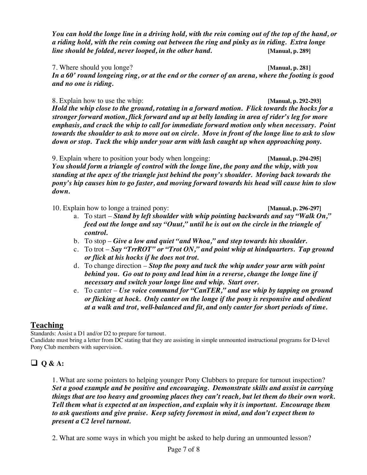*You can hold the longe line in a driving hold, with the rein coming out of the top of the hand, or a riding hold, with the rein coming out between the ring and pinky as in riding. Extra longe line should be folded, never looped, in the other hand.* **[Manual, p. 289]**

7. Where should you longe? **[Manual, p. 281]** *In a 60' round longeing ring, or at the end or the corner of an arena, where the footing is good and no one is riding.*

8. Explain how to use the whip: **[Manual, p. 292-293]** *Hold the whip close to the ground, rotating in a forward motion. Flick towards the hocks for a stronger forward motion, flick forward and up at belly landing in area of rider's leg for more emphasis, and crack the whip to call for immediate forward motion only when necessary. Point towards the shoulder to ask to move out on circle. Move in front of the longe line to ask to slow down or stop. Tuck the whip under your arm with lash caught up when approaching pony.*

9. Explain where to position your body when longeing: **[Manual, p. 294-295]** *You should form a triangle of control with the longe line, the pony and the whip, with you standing at the apex of the triangle just behind the pony's shoulder. Moving back towards the pony's hip causes him to go faster, and moving forward towards his head will cause him to slow down.*

10. Explain how to longe a trained pony: **[Manual, p. 296-297]**

- a. To start *Stand by left shoulder with whip pointing backwards and say "Walk On," feed out the longe and say "Ouut," until he is out on the circle in the triangle of control.*
- b. To stop *Give a low and quiet "and Whoa," and step towards his shoulder.*
- c. To trot *Say "TrrROT" or "Trot ON," and point whip at hindquarters. Tap ground or flick at his hocks if he does not trot.*
- d. To change direction *Stop the pony and tuck the whip under your arm with point behind you. Go out to pony and lead him in a reverse, change the longe line if necessary and switch your longe line and whip. Start over.*
- e. To canter *Use voice command for "CanTER," and use whip by tapping on ground or flicking at hock. Only canter on the longe if the pony is responsive and obedient at a walk and trot, well-balanced and fit, and only canter for short periods of time.*

## **Teaching**

Standards: Assist a D1 and/or D2 to prepare for turnout.

Candidate must bring a letter from DC stating that they are assisting in simple unmounted instructional programs for D-level Pony Club members with supervision.

## $\Box$  Q & A:

1. What are some pointers to helping younger Pony Clubbers to prepare for turnout inspection? *Set a good example and be positive and encouraging. Demonstrate skills and assist in carrying things that are too heavy and grooming places they can't reach, but let them do their own work. Tell them what is expected at an inspection, and explain why it is important. Encourage them to ask questions and give praise. Keep safety foremost in mind, and don't expect them to present a C2 level turnout.*

2. What are some ways in which you might be asked to help during an unmounted lesson?